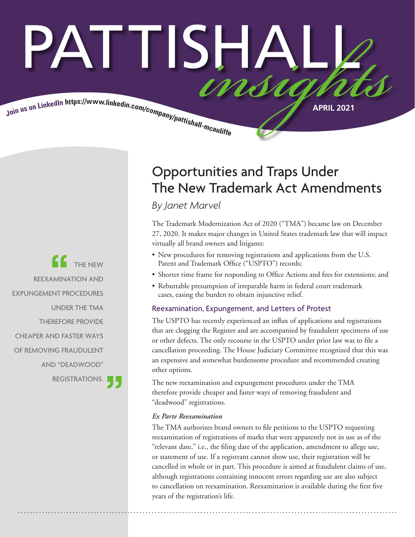# PATTISHA insia

Join us on LinkedIn https://www.linkedin.com/company/pattishall-measures

THE NEW REEXAMINATION AND EXPUNGEMENT PROCEDURES UNDER THE TMA THEREFORE PROVIDE CHEAPER AND FASTER WAYS OF REMOVING FRAUDULENT AND "DEADWOOD" REGISTRATIONS.

## Opportunities and Traps Under The New Trademark Act Amendments

*By Janet Marvel*

The Trademark Modernization Act of 2020 ("TMA") became law on December 27, 2020. It makes major changes in United States trademark law that will impact virtually all brand owners and litigants:

- New procedures for removing registrations and applications from the U.S. Patent and Trademark Office ("USPTO") records;
- Shorter time frame for responding to Office Actions and fees for extensions; and
- Rebuttable presumption of irreparable harm in federal court trademark cases, easing the burden to obtain injunctive relief.

#### Reexamination, Expungement, and Letters of Protest

The USPTO has recently experienced an influx of applications and registrations that are clogging the Register and are accompanied by fraudulent specimens of use or other defects. The only recourse in the USPTO under prior law was to file a cancellation proceeding. The House Judiciary Committee recognized that this was an expensive and somewhat burdensome procedure and recommended creating other options.

The new reexamination and expungement procedures under the TMA therefore provide cheaper and faster ways of removing fraudulent and "deadwood" registrations.

#### *Ex Parte Reexamination*

The TMA authorizes brand owners to file petitions to the USPTO requesting reexamination of registrations of marks that were apparently not in use as of the "relevant date," i.e., the filing date of the application, amendment to allege use, or statement of use. If a registrant cannot show use, their registration will be cancelled in whole or in part. This procedure is aimed at fraudulent claims of use, although registrations containing innocent errors regarding use are also subject to cancellation on reexamination. Reexamination is available during the first five years of the registration's life.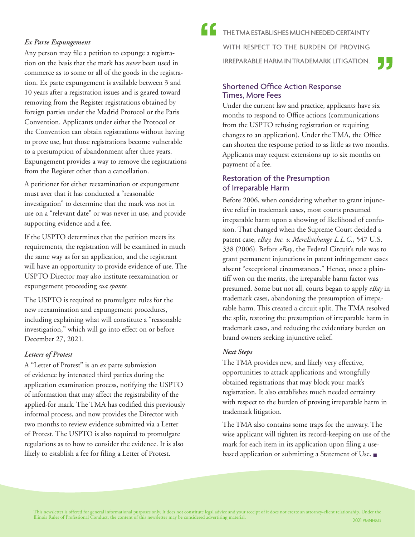#### *Ex Parte Expungement*

Any person may file a petition to expunge a registration on the basis that the mark has *never* been used in commerce as to some or all of the goods in the registration. Ex parte expungement is available between 3 and 10 years after a registration issues and is geared toward removing from the Register registrations obtained by foreign parties under the Madrid Protocol or the Paris Convention. Applicants under either the Protocol or the Convention can obtain registrations without having to prove use, but those registrations become vulnerable to a presumption of abandonment after three years. Expungement provides a way to remove the registrations from the Register other than a cancellation.

A petitioner for either reexamination or expungement must aver that it has conducted a "reasonable investigation" to determine that the mark was not in use on a "relevant date" or was never in use, and provide supporting evidence and a fee.

If the USPTO determines that the petition meets its requirements, the registration will be examined in much the same way as for an application, and the registrant will have an opportunity to provide evidence of use. The USPTO Director may also institute reexamination or expungement proceeding *sua sponte.*

The USPTO is required to promulgate rules for the new reexamination and expungement procedures, including explaining what will constitute a "reasonable investigation," which will go into effect on or before December 27, 2021.

#### *Letters of Protest*

A "Letter of Protest" is an ex parte submission of evidence by interested third parties during the application examination process, notifying the USPTO of information that may affect the registrability of the applied-for mark. The TMA has codified this previously informal process, and now provides the Director with two months to review evidence submitted via a Letter of Protest. The USPTO is also required to promulgate regulations as to how to consider the evidence. It is also likely to establish a fee for filing a Letter of Protest.

THE TMA ESTABLISHES MUCH NEEDED CERTAINTY WITH RESPECT TO THE BURDEN OF PROVING IRREPARABLE HARM IN TRADEMARK LITIGATION.

## Shortened Office Action Response Times, More Fees

Under the current law and practice, applicants have six months to respond to Office actions (communications from the USPTO refusing registration or requiring changes to an application). Under the TMA, the Office can shorten the response period to as little as two months. Applicants may request extensions up to six months on payment of a fee.

#### Restoration of the Presumption of Irreparable Harm

Before 2006, when considering whether to grant injunctive relief in trademark cases, most courts presumed irreparable harm upon a showing of likelihood of confusion. That changed when the Supreme Court decided a patent case, *eBay, Inc. v. MercExchange L.L.C.*, 547 U.S. 338 (2006). Before *eBay*, the Federal Circuit's rule was to grant permanent injunctions in patent infringement cases absent "exceptional circumstances." Hence, once a plaintiff won on the merits, the irreparable harm factor was presumed. Some but not all, courts began to apply *eBay* in trademark cases, abandoning the presumption of irreparable harm. This created a circuit split. The TMA resolved the split, restoring the presumption of irreparable harm in trademark cases, and reducing the evidentiary burden on brand owners seeking injunctive relief.

#### *Next Steps*

The TMA provides new, and likely very effective, opportunities to attack applications and wrongfully obtained registrations that may block your mark's registration. It also establishes much needed certainty with respect to the burden of proving irreparable harm in trademark litigation.

The TMA also contains some traps for the unwary. The wise applicant will tighten its record-keeping on use of the mark for each item in its application upon filing a usebased application or submitting a Statement of Use. ■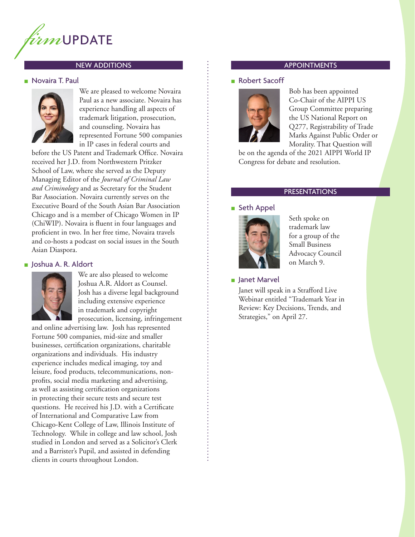

#### NEW ADDITIONS APPOINTMENTS

#### ■ Novaira T. Paul



We are pleased to welcome Novaira Paul as a new associate. Novaira has experience handling all aspects of trademark litigation, prosecution, and counseling. Novaira has represented Fortune 500 companies in IP cases in federal courts and

before the US Patent and Trademark Office. Novaira received her J.D. from Northwestern Pritzker School of Law, where she served as the Deputy Managing Editor of the *Journal of Criminal Law and Criminology* and as Secretary for the Student Bar Association. Novaira currently serves on the Executive Board of the South Asian Bar Association Chicago and is a member of Chicago Women in IP (ChiWIP). Novaira is fluent in four languages and proficient in two. In her free time, Novaira travels and co-hosts a podcast on social issues in the South Asian Diaspora.

#### ■ Joshua A. R. Aldort



We are also pleased to welcome Joshua A.R. Aldort as Counsel. Josh has a diverse legal background including extensive experience in trademark and copyright prosecution, licensing, infringement

and online advertising law. Josh has represented Fortune 500 companies, mid-size and smaller businesses, certification organizations, charitable organizations and individuals. His industry experience includes medical imaging, toy and leisure, food products, telecommunications, nonprofits, social media marketing and advertising, as well as assisting certification organizations in protecting their secure tests and secure test questions. He received his J.D. with a Certificate of International and Comparative Law from Chicago-Kent College of Law, Illinois Institute of Technology. While in college and law school, Josh studied in London and served as a Solicitor's Clerk and a Barrister's Pupil, and assisted in defending clients in courts throughout London.

#### ■ Robert Sacoff



Bob has been appointed Co-Chair of the AIPPI US Group Committee preparing the US National Report on Q277, Registrability of Trade Marks Against Public Order or Morality. That Question will

be on the agenda of the 2021 AIPPI World IP Congress for debate and resolution.

#### PRESENTATIONS

#### ■ Seth Appel



Seth spoke on trademark law for a group of the Small Business Advocacy Council on March 9.

■ Janet Marvel

Janet will speak in a Strafford Live Webinar entitled "Trademark Year in Review: Key Decisions, Trends, and Strategies," on April 27.